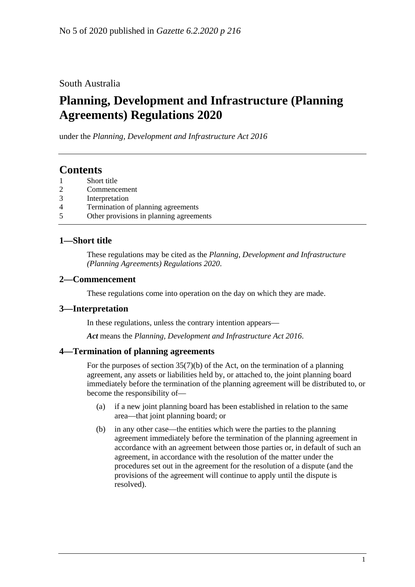### South Australia

# **Planning, Development and Infrastructure (Planning Agreements) Regulations 2020**

under the *Planning, Development and Infrastructure Act 2016*

### **Contents**

- 1 [Short title](#page-0-0)
- 2 [Commencement](#page-0-1)
- 3 [Interpretation](#page-0-2)
- 4 [Termination of planning agreements](#page-0-3)
- 5 [Other provisions in planning agreements](#page-1-0)

### <span id="page-0-0"></span>**1—Short title**

These regulations may be cited as the *Planning, Development and Infrastructure (Planning Agreements) Regulations 2020*.

#### <span id="page-0-1"></span>**2—Commencement**

These regulations come into operation on the day on which they are made.

#### <span id="page-0-2"></span>**3—Interpretation**

In these regulations, unless the contrary intention appears—

*Act* means the *[Planning, Development and Infrastructure Act](http://www.legislation.sa.gov.au/index.aspx?action=legref&type=act&legtitle=Planning%20Development%20and%20Infrastructure%20Act%202016) 2016*.

#### <span id="page-0-3"></span>**4—Termination of planning agreements**

For the purposes of section 35(7)(b) of the Act, on the termination of a planning agreement, any assets or liabilities held by, or attached to, the joint planning board immediately before the termination of the planning agreement will be distributed to, or become the responsibility of—

- (a) if a new joint planning board has been established in relation to the same area—that joint planning board; or
- (b) in any other case—the entities which were the parties to the planning agreement immediately before the termination of the planning agreement in accordance with an agreement between those parties or, in default of such an agreement, in accordance with the resolution of the matter under the procedures set out in the agreement for the resolution of a dispute (and the provisions of the agreement will continue to apply until the dispute is resolved).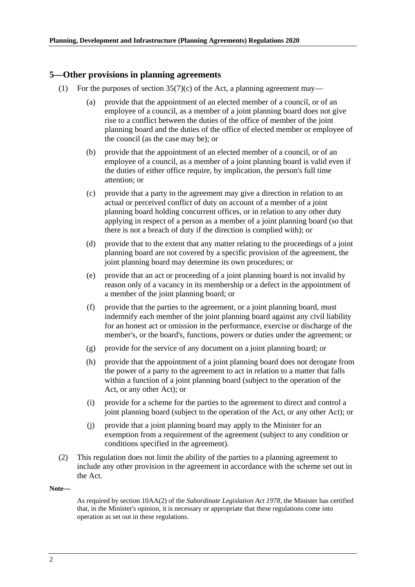#### <span id="page-1-0"></span>**5—Other provisions in planning agreements**

- (1) For the purposes of section  $35(7)(c)$  of the Act, a planning agreement may—
	- (a) provide that the appointment of an elected member of a council, or of an employee of a council, as a member of a joint planning board does not give rise to a conflict between the duties of the office of member of the joint planning board and the duties of the office of elected member or employee of the council (as the case may be); or
	- (b) provide that the appointment of an elected member of a council, or of an employee of a council, as a member of a joint planning board is valid even if the duties of either office require, by implication, the person's full time attention; or
	- (c) provide that a party to the agreement may give a direction in relation to an actual or perceived conflict of duty on account of a member of a joint planning board holding concurrent offices, or in relation to any other duty applying in respect of a person as a member of a joint planning board (so that there is not a breach of duty if the direction is complied with); or
	- (d) provide that to the extent that any matter relating to the proceedings of a joint planning board are not covered by a specific provision of the agreement, the joint planning board may determine its own procedures; or
	- (e) provide that an act or proceeding of a joint planning board is not invalid by reason only of a vacancy in its membership or a defect in the appointment of a member of the joint planning board; or
	- (f) provide that the parties to the agreement, or a joint planning board, must indemnify each member of the joint planning board against any civil liability for an honest act or omission in the performance, exercise or discharge of the member's, or the board's, functions, powers or duties under the agreement; or
	- (g) provide for the service of any document on a joint planning board; or
	- (h) provide that the appointment of a joint planning board does not derogate from the power of a party to the agreement to act in relation to a matter that falls within a function of a joint planning board (subject to the operation of the Act, or any other Act); or
	- (i) provide for a scheme for the parties to the agreement to direct and control a joint planning board (subject to the operation of the Act, or any other Act); or
	- (j) provide that a joint planning board may apply to the Minister for an exemption from a requirement of the agreement (subject to any condition or conditions specified in the agreement).
- (2) This regulation does not limit the ability of the parties to a planning agreement to include any other provision in the agreement in accordance with the scheme set out in the Act.

#### **Note—**

As required by section 10AA(2) of the *[Subordinate Legislation Act](http://www.legislation.sa.gov.au/index.aspx?action=legref&type=act&legtitle=Subordinate%20Legislation%20Act%201978) 1978*, the Minister has certified that, in the Minister's opinion, it is necessary or appropriate that these regulations come into operation as set out in these regulations.